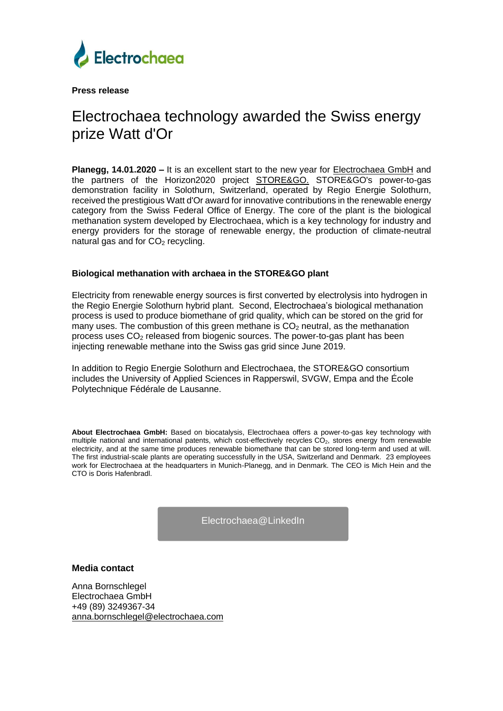

**Press release**

## Electrochaea technology awarded the Swiss energy prize Watt d'Or

**Planegg, 14.01.2020 –** It is an excellent start to the new year for [Electrochaea GmbH](http://www.electrochaea.com/) and the partners of the Horizon2020 project **STORE&GO**. STORE&GO's power-to-gas demonstration facility in Solothurn, Switzerland, operated by Regio Energie Solothurn, received the prestigious Watt d'Or award for innovative contributions in the renewable energy category from the Swiss Federal Office of Energy. The core of the plant is the biological methanation system developed by Electrochaea, which is a key technology for industry and energy providers for the storage of renewable energy, the production of climate-neutral natural gas and for  $CO<sub>2</sub>$  recycling.

## **Biological methanation with archaea in the STORE&GO plant**

Electricity from renewable energy sources is first converted by electrolysis into hydrogen in the Regio Energie Solothurn hybrid plant. Second, Electrochaea's biological methanation process is used to produce biomethane of grid quality, which can be stored on the grid for many uses. The combustion of this green methane is  $CO<sub>2</sub>$  neutral, as the methanation process uses CO<sup>2</sup> released from biogenic sources. The power-to-gas plant has been injecting renewable methane into the Swiss gas grid since June 2019.

In addition to Regio Energie Solothurn and Electrochaea, the STORE&GO consortium includes the University of Applied Sciences in Rapperswil, SVGW, Empa and the École Polytechnique Fédérale de Lausanne.

**About Electrochaea GmbH:** Based on biocatalysis, Electrochaea offers a power-to-gas key technology with multiple national and international patents, which cost-effectively recycles CO<sub>2</sub>, stores energy from renewable electricity, and at the same time produces renewable biomethane that can be stored long-term and used at will. The first industrial-scale plants are operating successfully in the USA, Switzerland and Denmark. 23 employees work for Electrochaea at the headquarters in Munich-Planegg, and in Denmark. The CEO is Mich Hein and the CTO is Doris Hafenbradl.

[Electrochaea@LinkedIn](https://www.linkedin.com/company/electrochaea/) 

## **Media contact**

Anna Bornschlegel Electrochaea GmbH +49 (89) 3249367-34 [anna.bornschlegel@electrochaea.com](mailto:anna.bornschlegel@electrochaea.com)